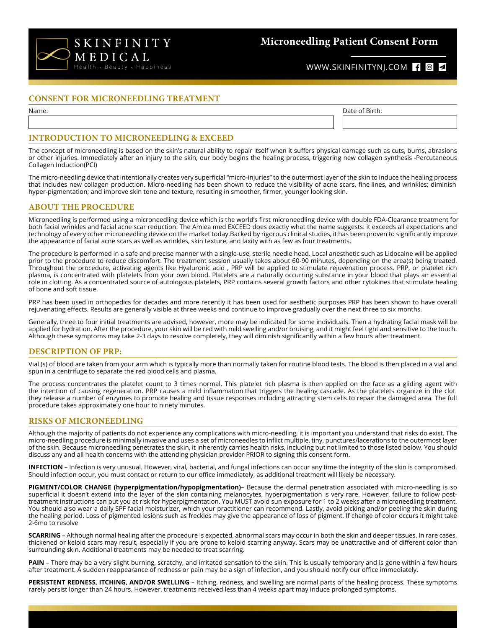

# **Microneedling Patient Consent Form**

## WWW.SKINFINITYNJ.COM { 0 4

#### **CONSENT FOR MICRONEEDLING TREATMENT**

Name: Date of Birth:

#### **INTRODUCTION TO MICRONEEDLING & EXCEED**

The concept of microneedling is based on the skin's natural ability to repair itself when it suffers physical damage such as cuts, burns, abrasions or other injuries. Immediately after an injury to the skin, our body begins the healing process, triggering new collagen synthesis -Percutaneous Collagen Induction(PCI)

The micro-needling device that intentionally creates very superficial "micro-injuries" to the outermost layer of the skin to induce the healing process that includes new collagen production. Micro-needling has been shown to reduce the visibility of acne scars, fine lines, and wrinkles; diminish hyper-pigmentation; and improve skin tone and texture, resulting in smoother, firmer, younger looking skin.

#### **ABOUT THE PROCEDURE**

Microneedling is performed using a microneedling device which is the world's first microneedling device with double FDA-Clearance treatment for both facial wrinkles and facial acne scar reduction. The Amiea med EXCEED does exactly what the name suggests: it exceeds all expectations and technology of every other microneedling device on the market today.Backed by rigorous clinical studies, it has been proven to significantly improve the appearance of facial acne scars as well as wrinkles, skin texture, and laxity with as few as four treatments.

The procedure is performed in a safe and precise manner with a single-use, sterile needle head. Local anesthetic such as Lidocaine will be applied prior to the procedure to reduce discomfort. The treatment session usually takes about 60-90 minutes, depending on the area(s) being treated. Throughout the procedure, activating agents like Hyaluronic acid , PRP will be applied to stimulate rejuvenation process. PRP, or platelet rich plasma, is concentrated with platelets from your own blood. Platelets are a naturally occurring substance in your blood that plays an essential role in clotting. As a concentrated source of autologous platelets, PRP contains several growth factors and other cytokines that stimulate healing of bone and soft tissue.

PRP has been used in orthopedics for decades and more recently it has been used for aesthetic purposes PRP has been shown to have overall rejuvenating effects. Results are generally visible at three weeks and continue to improve gradually over the next three to six months.

Generally, three to four initial treatments are advised, however, more may be indicated for some individuals. Then a hydrating facial mask will be applied for hydration. After the procedure, your skin will be red with mild swelling and/or bruising, and it might feel tight and sensitive to the touch. Although these symptoms may take 2-3 days to resolve completely, they will diminish significantly within a few hours after treatment.

#### **DESCRIPTION OF PRP:**

Vial (s) of blood are taken from your arm which is typically more than normally taken for routine blood tests. The blood is then placed in a vial and spun in a centrifuge to separate the red blood cells and plasma.

The process concentrates the platelet count to 3 times normal. This platelet rich plasma is then applied on the face as a gliding agent with the intention of causing regeneration. PRP causes a mild inflammation that triggers the healing cascade. As the platelets organize in the clot they release a number of enzymes to promote healing and tissue responses including attracting stem cells to repair the damaged area. The full procedure takes approximately one hour to ninety minutes.

### **RISKS OF MICRONEEDLING**

Although the majority of patients do not experience any complications with micro-needling, it is important you understand that risks do exist. The micro-needling procedure is minimally invasive and uses a set of microneedles to inflict multiple, tiny, punctures/lacerations to the outermost layer of the skin. Because microneedling penetrates the skin, it inherently carries health risks, including but not limited to those listed below. You should discuss any and all health concerns with the attending physician provider PRIOR to signing this consent form.

**INFECTION** – Infection is very unusual. However, viral, bacterial, and fungal infections can occur any time the integrity of the skin is compromised. Should infection occur, you must contact or return to our office immediately, as additional treatment will likely be necessary.

**PIGMENT/COLOR CHANGE (hyperpigmentation/hypopigmentation)**– Because the dermal penetration associated with micro-needling is so superficial it doesn't extend into the layer of the skin containing melanocytes, hyperpigmentation is very rare. However, failure to follow posttreatment instructions can put you at risk for hyperpigmentation. You MUST avoid sun exposure for 1 to 2 weeks after a microneedling treatment. You should also wear a daily SPF facial moisturizer, which your practitioner can recommend. Lastly, avoid picking and/or peeling the skin during the healing period. Loss of pigmented lesions such as freckles may give the appearance of loss of pigment. If change of color occurs it might take 2-6mo to resolve

**SCARRING** – Although normal healing after the procedure is expected, abnormal scars may occur in both the skin and deeper tissues. In rare cases, thickened or keloid scars may result, especially if you are prone to keloid scarring anyway. Scars may be unattractive and of different color than surrounding skin. Additional treatments may be needed to treat scarring.

PAIN - There may be a very slight burning, scratchy, and irritated sensation to the skin. This is usually temporary and is gone within a few hours after treatment. A sudden reappearance of redness or pain may be a sign of infection, and you should notify our office immediately.

**PERSISTENT REDNESS, ITCHING, AND/OR SWELLING** – Itching, redness, and swelling are normal parts of the healing process. These symptoms rarely persist longer than 24 hours. However, treatments received less than 4 weeks apart may induce prolonged symptoms.